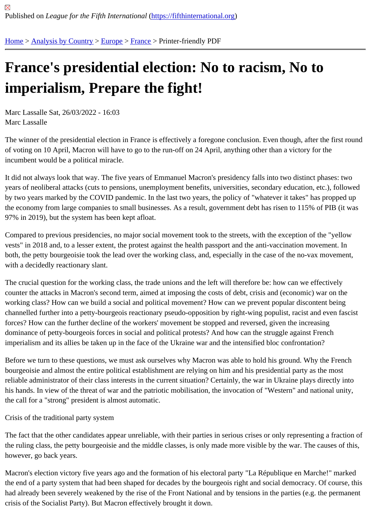## [Fra](https://fifthinternational.org/)[nce](https://fifthinternational.org/category/1)'[s pres](https://fifthinternational.org/category/1)i[den](https://fifthinternational.org/category/1/128)ti[al e](https://fifthinternational.org/category/1/128/144)lection: No to racism, No to imperialism, Prepare the fight!

Marc Lassalle Sat, 26/03/2022 - 16:03 Marc Lassalle

The winner of the presidential election in France is effectively a foregone conclusion. Even though, after the first ro of voting on 10 April, Macron will have to go to the run-off on 24 April, anything other than a victory for the incumbent would be a political miracle.

It did not always look that way. The five years of Emmanuel Macron's presidency falls into two distinct phases: two years of neoliberal attacks (cuts to pensions, unemployment benefits, universities, secondary education, etc.), follo by two years marked by the COVID pandemic. In the last two years, the policy of "whatever it takes" has propped the economy from large companies to small businesses. As a result, government debt has risen to 115% of PIB (it 97% in 2019), but the system has been kept afloat.

Compared to previous presidencies, no major social movement took to the streets, with the exception of the "yello vests" in 2018 and, to a lesser extent, the protest against the health passport and the anti-vaccination movement. both, the petty bourgeoisie took the lead over the working class, and, especially in the case of the no-vax moveme with a decidedly reactionary slant.

The crucial question for the working class, the trade unions and the left will therefore be: how can we effectively counter the attacks in Macron's second term, aimed at imposing the costs of debt, crisis and (economic) war on th working class? How can we build a social and political movement? How can we prevent popular discontent being channelled further into a petty-bourgeois reactionary pseudo-opposition by right-wing populist, racist and even fas forces? How can the further decline of the workers' movement be stopped and reversed, given the increasing dominance of petty-bourgeois forces in social and political protests? And how can the struggle against French imperialism and its allies be taken up in the face of the Ukraine war and the intensified bloc confrontation?

Before we turn to these questions, we must ask ourselves why Macron was able to hold his ground. Why the Fren bourgeoisie and almost the entire political establishment are relying on him and his presidential party as the most reliable administrator of their class interests in the current situation? Certainly, the war in Ukraine plays directly into his hands. In view of the threat of war and the patriotic mobilisation, the invocation of "Western" and national unity, the call for a "strong" president is almost automatic.

Crisis of the traditional party system

The fact that the other candidates appear unreliable, with their parties in serious crises or only representing a fract the ruling class, the petty bourgeoisie and the middle classes, is only made more visible by the war. The causes o however, go back years.

Macron's election victory five years ago and the formation of his electoral party "La République en Marche!" marke the end of a party system that had been shaped for decades by the bourgeois right and social democracy. Of cour had already been severely weakened by the rise of the Front National and by tensions in the parties (e.g. the perm crisis of the Socialist Party). But Macron effectively brought it down.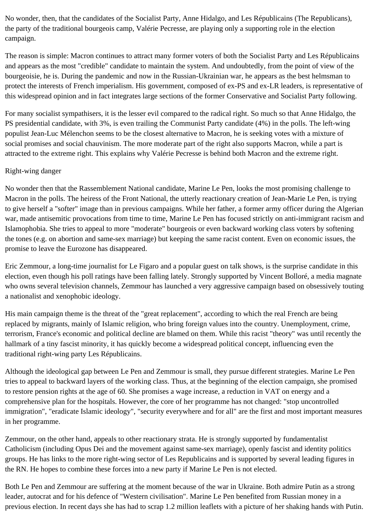No wonder, then, that the candidates of the Socialist Party, Anne Hidalgo, and Les Républicains (The Republicans), the party of the traditional bourgeois camp, Valérie Pecresse, are playing only a supporting role in the election campaign.

The reason is simple: Macron continues to attract many former voters of both the Socialist Party and Les Républicains and appears as the most "credible" candidate to maintain the system. And undoubtedly, from the point of view of the bourgeoisie, he is. During the pandemic and now in the Russian-Ukrainian war, he appears as the best helmsman to protect the interests of French imperialism. His government, composed of ex-PS and ex-LR leaders, is representative of this widespread opinion and in fact integrates large sections of the former Conservative and Socialist Party following.

For many socialist sympathisers, it is the lesser evil compared to the radical right. So much so that Anne Hidalgo, the PS presidential candidate, with 3%, is even trailing the Communist Party candidate (4%) in the polls. The left-wing populist Jean-Luc Mélenchon seems to be the closest alternative to Macron, he is seeking votes with a mixture of social promises and social chauvinism. The more moderate part of the right also supports Macron, while a part is attracted to the extreme right. This explains why Valérie Pecresse is behind both Macron and the extreme right.

## Right-wing danger

No wonder then that the Rassemblement National candidate, Marine Le Pen, looks the most promising challenge to Macron in the polls. The heiress of the Front National, the utterly reactionary creation of Jean-Marie Le Pen, is trying to give herself a "softer" image than in previous campaigns. While her father, a former army officer during the Algerian war, made antisemitic provocations from time to time, Marine Le Pen has focused strictly on anti-immigrant racism and Islamophobia. She tries to appeal to more "moderate" bourgeois or even backward working class voters by softening the tones (e.g. on abortion and same-sex marriage) but keeping the same racist content. Even on economic issues, the promise to leave the Eurozone has disappeared.

Eric Zemmour, a long-time journalist for Le Figaro and a popular guest on talk shows, is the surprise candidate in this election, even though his poll ratings have been falling lately. Strongly supported by Vincent Bolloré, a media magnate who owns several television channels, Zemmour has launched a very aggressive campaign based on obsessively touting a nationalist and xenophobic ideology.

His main campaign theme is the threat of the "great replacement", according to which the real French are being replaced by migrants, mainly of Islamic religion, who bring foreign values into the country. Unemployment, crime, terrorism, France's economic and political decline are blamed on them. While this racist "theory" was until recently the hallmark of a tiny fascist minority, it has quickly become a widespread political concept, influencing even the traditional right-wing party Les Républicains.

Although the ideological gap between Le Pen and Zemmour is small, they pursue different strategies. Marine Le Pen tries to appeal to backward layers of the working class. Thus, at the beginning of the election campaign, she promised to restore pension rights at the age of 60. She promises a wage increase, a reduction in VAT on energy and a comprehensive plan for the hospitals. However, the core of her programme has not changed: "stop uncontrolled immigration", "eradicate Islamic ideology", "security everywhere and for all" are the first and most important measures in her programme.

Zemmour, on the other hand, appeals to other reactionary strata. He is strongly supported by fundamentalist Catholicism (including Opus Dei and the movement against same-sex marriage), openly fascist and identity politics groups. He has links to the more right-wing sector of Les Republicains and is supported by several leading figures in the RN. He hopes to combine these forces into a new party if Marine Le Pen is not elected.

Both Le Pen and Zemmour are suffering at the moment because of the war in Ukraine. Both admire Putin as a strong leader, autocrat and for his defence of "Western civilisation". Marine Le Pen benefited from Russian money in a previous election. In recent days she has had to scrap 1.2 million leaflets with a picture of her shaking hands with Putin.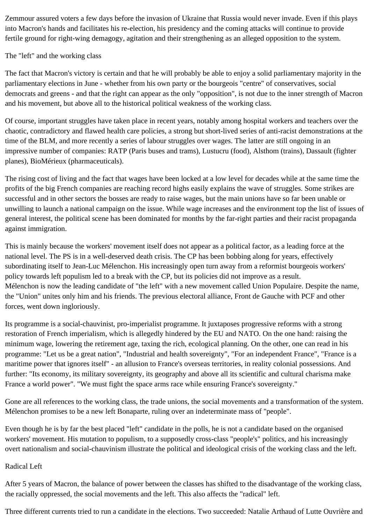Zemmour assured voters a few days before the invasion of Ukraine that Russia would never invade. Even if this plays into Macron's hands and facilitates his re-election, his presidency and the coming attacks will continue to provide fertile ground for right-wing demagogy, agitation and their strengthening as an alleged opposition to the system.

## The "left" and the working class

The fact that Macron's victory is certain and that he will probably be able to enjoy a solid parliamentary majority in the parliamentary elections in June - whether from his own party or the bourgeois "centre" of conservatives, social democrats and greens - and that the right can appear as the only "opposition", is not due to the inner strength of Macron and his movement, but above all to the historical political weakness of the working class.

Of course, important struggles have taken place in recent years, notably among hospital workers and teachers over the chaotic, contradictory and flawed health care policies, a strong but short-lived series of anti-racist demonstrations at the time of the BLM, and more recently a series of labour struggles over wages. The latter are still ongoing in an impressive number of companies: RATP (Paris buses and trams), Lustucru (food), Alsthom (trains), Dassault (fighter planes), BioMérieux (pharmaceuticals).

The rising cost of living and the fact that wages have been locked at a low level for decades while at the same time the profits of the big French companies are reaching record highs easily explains the wave of struggles. Some strikes are successful and in other sectors the bosses are ready to raise wages, but the main unions have so far been unable or unwilling to launch a national campaign on the issue. While wage increases and the environment top the list of issues of general interest, the political scene has been dominated for months by the far-right parties and their racist propaganda against immigration.

This is mainly because the workers' movement itself does not appear as a political factor, as a leading force at the national level. The PS is in a well-deserved death crisis. The CP has been bobbing along for years, effectively subordinating itself to Jean-Luc Mélenchon. His increasingly open turn away from a reformist bourgeois workers' policy towards left populism led to a break with the CP, but its policies did not improve as a result. Mélenchon is now the leading candidate of "the left" with a new movement called Union Populaire. Despite the name, the "Union" unites only him and his friends. The previous electoral alliance, Front de Gauche with PCF and other forces, went down ingloriously.

Its programme is a social-chauvinist, pro-imperialist programme. It juxtaposes progressive reforms with a strong restoration of French imperialism, which is allegedly hindered by the EU and NATO. On the one hand: raising the minimum wage, lowering the retirement age, taxing the rich, ecological planning. On the other, one can read in his programme: "Let us be a great nation", "Industrial and health sovereignty", "For an independent France", "France is a maritime power that ignores itself" - an allusion to France's overseas territories, in reality colonial possessions. And further: "Its economy, its military sovereignty, its geography and above all its scientific and cultural charisma make France a world power". "We must fight the space arms race while ensuring France's sovereignty."

Gone are all references to the working class, the trade unions, the social movements and a transformation of the system. Mélenchon promises to be a new left Bonaparte, ruling over an indeterminate mass of "people".

Even though he is by far the best placed "left" candidate in the polls, he is not a candidate based on the organised workers' movement. His mutation to populism, to a supposedly cross-class "people's" politics, and his increasingly overt nationalism and social-chauvinism illustrate the political and ideological crisis of the working class and the left.

## Radical Left

After 5 years of Macron, the balance of power between the classes has shifted to the disadvantage of the working class, the racially oppressed, the social movements and the left. This also affects the "radical" left.

Three different currents tried to run a candidate in the elections. Two succeeded: Natalie Arthaud of Lutte Ouvrière and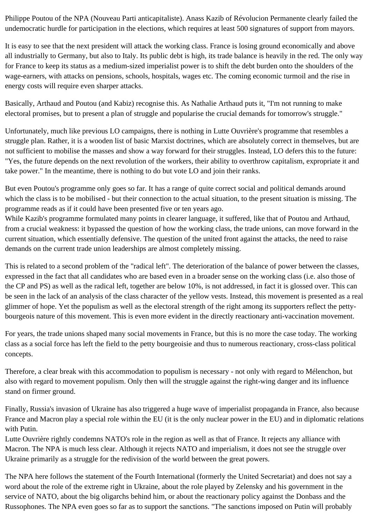Philippe Poutou of the NPA (Nouveau Parti anticapitaliste). Anass Kazib of Révolucion Permanente clearly failed the undemocratic hurdle for participation in the elections, which requires at least 500 signatures of support from mayors.

It is easy to see that the next president will attack the working class. France is losing ground economically and above all industrially to Germany, but also to Italy. Its public debt is high, its trade balance is heavily in the red. The only way for France to keep its status as a medium-sized imperialist power is to shift the debt burden onto the shoulders of the wage-earners, with attacks on pensions, schools, hospitals, wages etc. The coming economic turmoil and the rise in energy costs will require even sharper attacks.

Basically, Arthaud and Poutou (and Kabiz) recognise this. As Nathalie Arthaud puts it, "I'm not running to make electoral promises, but to present a plan of struggle and popularise the crucial demands for tomorrow's struggle."

Unfortunately, much like previous LO campaigns, there is nothing in Lutte Ouvrière's programme that resembles a struggle plan. Rather, it is a wooden list of basic Marxist doctrines, which are absolutely correct in themselves, but are not sufficient to mobilise the masses and show a way forward for their struggles. Instead, LO defers this to the future: "Yes, the future depends on the next revolution of the workers, their ability to overthrow capitalism, expropriate it and take power." In the meantime, there is nothing to do but vote LO and join their ranks.

But even Poutou's programme only goes so far. It has a range of quite correct social and political demands around which the class is to be mobilised - but their connection to the actual situation, to the present situation is missing. The programme reads as if it could have been presented five or ten years ago.

While Kazib's programme formulated many points in clearer language, it suffered, like that of Poutou and Arthaud, from a crucial weakness: it bypassed the question of how the working class, the trade unions, can move forward in the current situation, which essentially defensive. The question of the united front against the attacks, the need to raise demands on the current trade union leaderships are almost completely missing.

This is related to a second problem of the "radical left". The deterioration of the balance of power between the classes, expressed in the fact that all candidates who are based even in a broader sense on the working class (i.e. also those of the CP and PS) as well as the radical left, together are below 10%, is not addressed, in fact it is glossed over. This can be seen in the lack of an analysis of the class character of the yellow vests. Instead, this movement is presented as a real glimmer of hope. Yet the populism as well as the electoral strength of the right among its supporters reflect the pettybourgeois nature of this movement. This is even more evident in the directly reactionary anti-vaccination movement.

For years, the trade unions shaped many social movements in France, but this is no more the case today. The working class as a social force has left the field to the petty bourgeoisie and thus to numerous reactionary, cross-class political concepts.

Therefore, a clear break with this accommodation to populism is necessary - not only with regard to Mélenchon, but also with regard to movement populism. Only then will the struggle against the right-wing danger and its influence stand on firmer ground.

Finally, Russia's invasion of Ukraine has also triggered a huge wave of imperialist propaganda in France, also because France and Macron play a special role within the EU (it is the only nuclear power in the EU) and in diplomatic relations with Putin.

Lutte Ouvrière rightly condemns NATO's role in the region as well as that of France. It rejects any alliance with Macron. The NPA is much less clear. Although it rejects NATO and imperialism, it does not see the struggle over Ukraine primarily as a struggle for the redivision of the world between the great powers.

The NPA here follows the statement of the Fourth International (formerly the United Secretariat) and does not say a word about the role of the extreme right in Ukraine, about the role played by Zelensky and his government in the service of NATO, about the big oligarchs behind him, or about the reactionary policy against the Donbass and the Russophones. The NPA even goes so far as to support the sanctions. "The sanctions imposed on Putin will probably